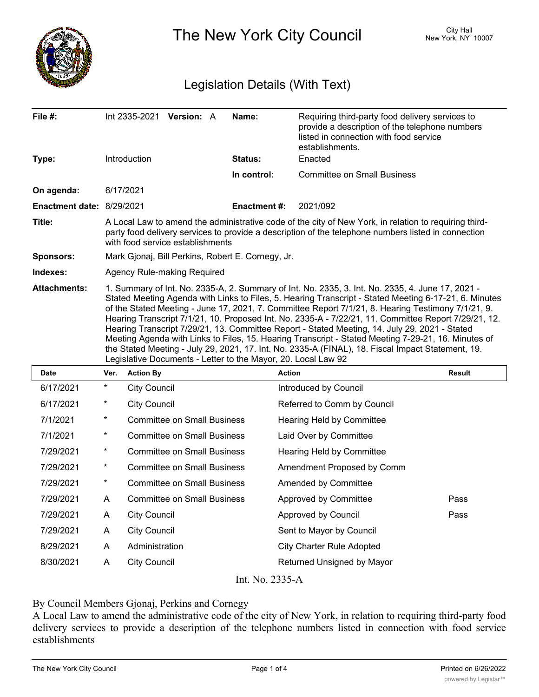

The New York City Council New York, NY 10007

## Legislation Details (With Text)

| File #:                   | <b>Version: A</b><br>Int 2335-2021                                                                                                                                                                                                                                                                                                                                                                                                                                                                                                                                                                                                                                                                                                                                                                    | Name:               | Requiring third-party food delivery services to<br>provide a description of the telephone numbers<br>listed in connection with food service<br>establishments. |  |  |
|---------------------------|-------------------------------------------------------------------------------------------------------------------------------------------------------------------------------------------------------------------------------------------------------------------------------------------------------------------------------------------------------------------------------------------------------------------------------------------------------------------------------------------------------------------------------------------------------------------------------------------------------------------------------------------------------------------------------------------------------------------------------------------------------------------------------------------------------|---------------------|----------------------------------------------------------------------------------------------------------------------------------------------------------------|--|--|
| Type:                     | <b>Introduction</b>                                                                                                                                                                                                                                                                                                                                                                                                                                                                                                                                                                                                                                                                                                                                                                                   | <b>Status:</b>      | Enacted                                                                                                                                                        |  |  |
|                           |                                                                                                                                                                                                                                                                                                                                                                                                                                                                                                                                                                                                                                                                                                                                                                                                       | In control:         | <b>Committee on Small Business</b>                                                                                                                             |  |  |
| On agenda:                | 6/17/2021                                                                                                                                                                                                                                                                                                                                                                                                                                                                                                                                                                                                                                                                                                                                                                                             |                     |                                                                                                                                                                |  |  |
| Enactment date: 8/29/2021 |                                                                                                                                                                                                                                                                                                                                                                                                                                                                                                                                                                                                                                                                                                                                                                                                       | <b>Enactment #:</b> | 2021/092                                                                                                                                                       |  |  |
| Title:                    | A Local Law to amend the administrative code of the city of New York, in relation to requiring third-<br>party food delivery services to provide a description of the telephone numbers listed in connection<br>with food service establishments                                                                                                                                                                                                                                                                                                                                                                                                                                                                                                                                                      |                     |                                                                                                                                                                |  |  |
| <b>Sponsors:</b>          | Mark Gjonaj, Bill Perkins, Robert E. Cornegy, Jr.                                                                                                                                                                                                                                                                                                                                                                                                                                                                                                                                                                                                                                                                                                                                                     |                     |                                                                                                                                                                |  |  |
| Indexes:                  | Agency Rule-making Required                                                                                                                                                                                                                                                                                                                                                                                                                                                                                                                                                                                                                                                                                                                                                                           |                     |                                                                                                                                                                |  |  |
| <b>Attachments:</b>       | 1. Summary of Int. No. 2335-A, 2. Summary of Int. No. 2335, 3. Int. No. 2335, 4. June 17, 2021 -<br>Stated Meeting Agenda with Links to Files, 5. Hearing Transcript - Stated Meeting 6-17-21, 6. Minutes<br>of the Stated Meeting - June 17, 2021, 7. Committee Report 7/1/21, 8. Hearing Testimony 7/1/21, 9.<br>Hearing Transcript 7/1/21, 10. Proposed Int. No. 2335-A - 7/22/21, 11. Committee Report 7/29/21, 12.<br>Hearing Transcript 7/29/21, 13. Committee Report - Stated Meeting, 14. July 29, 2021 - Stated<br>Meeting Agenda with Links to Files, 15. Hearing Transcript - Stated Meeting 7-29-21, 16. Minutes of<br>the Stated Meeting - July 29, 2021, 17. Int. No. 2335-A (FINAL), 18. Fiscal Impact Statement, 19.<br>Legislative Documents - Letter to the Mayor, 20. Local Law 92 |                     |                                                                                                                                                                |  |  |

| <b>Date</b>                              | Ver.     | <b>Action By</b>                   | <b>Action</b>                    | Result |  |
|------------------------------------------|----------|------------------------------------|----------------------------------|--------|--|
| 6/17/2021                                | $^\ast$  | <b>City Council</b>                | Introduced by Council            |        |  |
| 6/17/2021                                | $^\ast$  | <b>City Council</b>                | Referred to Comm by Council      |        |  |
| 7/1/2021                                 | $^\star$ | <b>Committee on Small Business</b> | <b>Hearing Held by Committee</b> |        |  |
| 7/1/2021                                 | $^\ast$  | <b>Committee on Small Business</b> | Laid Over by Committee           |        |  |
| 7/29/2021                                | $\star$  | <b>Committee on Small Business</b> | <b>Hearing Held by Committee</b> |        |  |
| 7/29/2021                                | $\ast$   | <b>Committee on Small Business</b> | Amendment Proposed by Comm       |        |  |
| 7/29/2021                                | $^\ast$  | <b>Committee on Small Business</b> | Amended by Committee             |        |  |
| 7/29/2021                                | A        | <b>Committee on Small Business</b> | Approved by Committee            | Pass   |  |
| 7/29/2021                                | A        | <b>City Council</b>                | Approved by Council              | Pass   |  |
| 7/29/2021                                | A        | <b>City Council</b>                | Sent to Mayor by Council         |        |  |
| 8/29/2021                                | A        | Administration                     | <b>City Charter Rule Adopted</b> |        |  |
| 8/30/2021                                | A        | <b>City Council</b>                | Returned Unsigned by Mayor       |        |  |
| <b>T. NT</b><br>$\bigcap_{n=1}^{\infty}$ |          |                                    |                                  |        |  |

Int. No. 2335-A

By Council Members Gjonaj, Perkins and Cornegy

A Local Law to amend the administrative code of the city of New York, in relation to requiring third-party food delivery services to provide a description of the telephone numbers listed in connection with food service establishments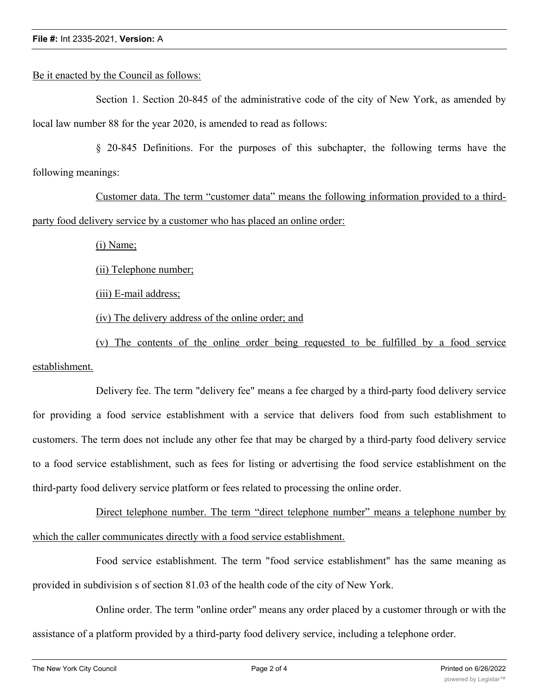## Be it enacted by the Council as follows:

Section 1. Section 20-845 of the administrative code of the city of New York, as amended by local law number 88 for the year 2020, is amended to read as follows:

§ 20-845 Definitions. For the purposes of this subchapter, the following terms have the following meanings:

Customer data. The term "customer data" means the following information provided to a thirdparty food delivery service by a customer who has placed an online order:

(i) Name;

(ii) Telephone number;

(iii) E-mail address;

(iv) The delivery address of the online order; and

(v) The contents of the online order being requested to be fulfilled by a food service establishment.

Delivery fee. The term "delivery fee" means a fee charged by a third-party food delivery service for providing a food service establishment with a service that delivers food from such establishment to customers. The term does not include any other fee that may be charged by a third-party food delivery service to a food service establishment, such as fees for listing or advertising the food service establishment on the third-party food delivery service platform or fees related to processing the online order.

Direct telephone number. The term "direct telephone number" means a telephone number by which the caller communicates directly with a food service establishment.

Food service establishment. The term "food service establishment" has the same meaning as provided in subdivision s of section 81.03 of the health code of the city of New York.

Online order. The term "online order" means any order placed by a customer through or with the assistance of a platform provided by a third-party food delivery service, including a telephone order.

 $\overline{\phantom{a}}$  purchase price. The term "purchase price" means the total price of the items contained in an analysis of the items contained in an analysis of the items contained in an analysis of the items contained in an an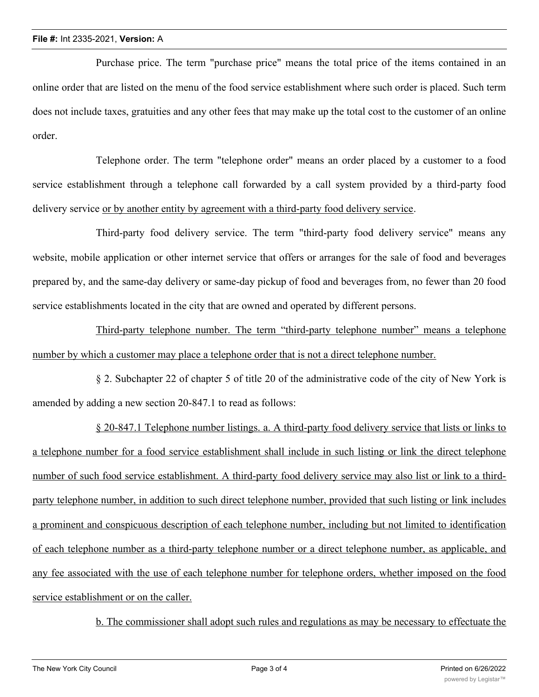Purchase price. The term "purchase price" means the total price of the items contained in an online order that are listed on the menu of the food service establishment where such order is placed. Such term does not include taxes, gratuities and any other fees that may make up the total cost to the customer of an online order.

Telephone order. The term "telephone order" means an order placed by a customer to a food service establishment through a telephone call forwarded by a call system provided by a third-party food delivery service or by another entity by agreement with a third-party food delivery service.

Third-party food delivery service. The term "third-party food delivery service" means any website, mobile application or other internet service that offers or arranges for the sale of food and beverages prepared by, and the same-day delivery or same-day pickup of food and beverages from, no fewer than 20 food service establishments located in the city that are owned and operated by different persons.

Third-party telephone number. The term "third-party telephone number" means a telephone number by which a customer may place a telephone order that is not a direct telephone number.

§ 2. Subchapter 22 of chapter 5 of title 20 of the administrative code of the city of New York is amended by adding a new section 20-847.1 to read as follows:

§ 20-847.1 Telephone number listings. a. A third-party food delivery service that lists or links to a telephone number for a food service establishment shall include in such listing or link the direct telephone number of such food service establishment. A third-party food delivery service may also list or link to a thirdparty telephone number, in addition to such direct telephone number, provided that such listing or link includes a prominent and conspicuous description of each telephone number, including but not limited to identification of each telephone number as a third-party telephone number or a direct telephone number, as applicable, and any fee associated with the use of each telephone number for telephone orders, whether imposed on the food service establishment or on the caller.

b. The commissioner shall adopt such rules and regulations as may be necessary to effectuate the